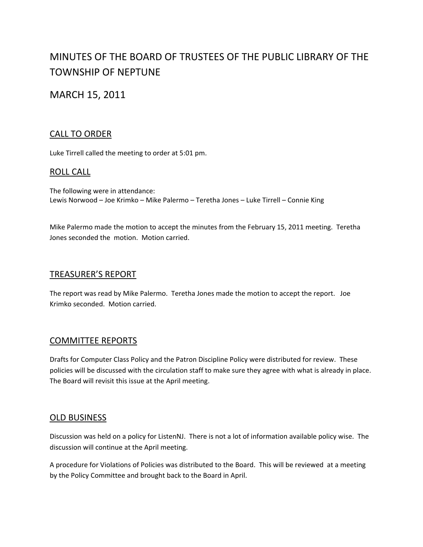# MINUTES OF THE BOARD OF TRUSTEES OF THE PUBLIC LIBRARY OF THE TOWNSHIP OF NEPTUNE

## MARCH 15, 2011

### CALL TO ORDER

Luke Tirrell called the meeting to order at 5:01 pm.

#### ROLL CALL

The following were in attendance: Lewis Norwood – Joe Krimko – Mike Palermo – Teretha Jones – Luke Tirrell – Connie King

Mike Palermo made the motion to accept the minutes from the February 15, 2011 meeting. Teretha Jones seconded the motion. Motion carried.

#### TREASURER'S REPORT

The report was read by Mike Palermo. Teretha Jones made the motion to accept the report. Joe Krimko seconded. Motion carried.

#### COMMITTEE REPORTS

Drafts for Computer Class Policy and the Patron Discipline Policy were distributed for review. These policies will be discussed with the circulation staff to make sure they agree with what is already in place. The Board will revisit this issue at the April meeting.

#### OLD BUSINESS

Discussion was held on a policy for ListenNJ. There is not a lot of information available policy wise. The discussion will continue at the April meeting.

A procedure for Violations of Policies was distributed to the Board. This will be reviewed at a meeting by the Policy Committee and brought back to the Board in April.